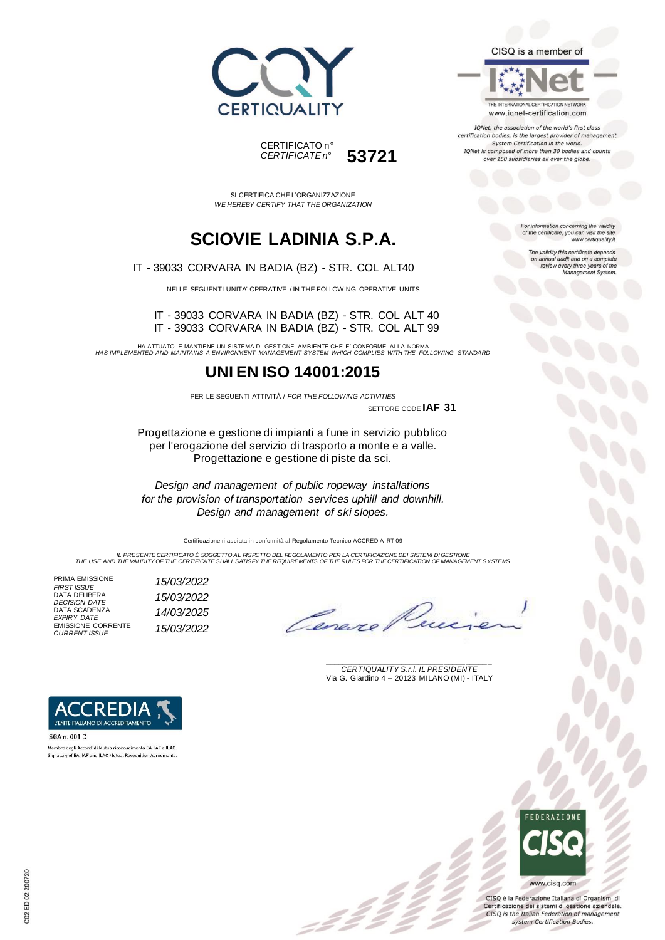



SI CERTIFICA CHE L'ORGANIZZAZIONE *WE HEREBY CERTIFY THAT THE ORGANIZATION*

## **SCIOVIE LADINIA S.P.A.**

IT - 39033 CORVARA IN BADIA (BZ) - STR. COL ALT40

NELLE SEGUENTI UNITA' OPERATIVE / IN THE FOLLOWING OPERATIVE UNITS

IT - 39033 CORVARA IN BADIA (BZ) - STR. COL ALT 40 IT - 39033 CORVARA IN BADIA (BZ) - STR. COL ALT 99

HA ATTUATO E MANTIENE UN SISTEMA DI GESTIONE AMBIENTE CHE E' CONFORME ALLA NORMA *HAS IMPLEMENTED AND MAINTAINS A ENVIRONMENT MANAGEMENT SYSTEM WHICH COMPLIES WITH THE FOLLOWING STANDARD*

### **UNI EN ISO 14001:2015**

PER LE SEGUENTI ATTIVITÀ / *FOR THE FOLLOWING ACTIVITIES* SETTORE CODE **IAF 31**

Progettazione e gestione di impianti a fune in servizio pubblico per l'erogazione del servizio di trasporto a monte e a valle. Progettazione e gestione di piste da sci.

*Design and management of public ropeway installations for the provision of transportation services uphill and downhill. Design and management of ski slopes.*

Certificazione rilasciata in conformità al Regolamento Tecnico ACCREDIA RT 09

IL PRESENTE CERTIFICATO E SOGGETTO AL RISPETTO DEL REGOLAMENTO PER LA CERTIFICAZIONE DEI SISTEMI DI GESTIONE<br>THE USE AND THE VALIDITY OF THE CERTIFICATE SHALL SATISFY THE REQUIREMENTS OF THE RULES FOR THE CERTIFICATION OF

PRIMA EMISSIONE *FIRST ISSUE 15/03/2022* DATA DELIBERA *DECISION DATE 15/03/2022* DATA SCADENZA *EXPIRY DATE 14/03/2025* EMISSIONE CORRENTE *CURRENT ISSUE 15/03/2022*

\_\_\_\_\_\_\_\_\_\_\_\_\_\_\_\_\_\_\_\_\_\_\_\_\_\_\_\_\_\_\_\_\_\_\_\_\_\_\_ *CERTIQUALITY S.r.l. IL PRESIDENTE* Via G. Giardino 4 – 20123 MILANO (MI) - ITALY



### CISQ is a member of

THE INTERNATIONAL CERTIFICATION NETWORK www.iqnet-certification.com

IQNet, the association of the world's first class certification bodies, is the largest provider of manageme System Certification in the world. IQNet is composed of more than 30 bodies and counts over 150 subsidiaries all over the globe.

> For information concerning the validity<br>of the certificate, you can visit the site www.certiquality.it

> > The validity this certificate depends on annual audit and on a complete<br>review every three years of the<br>Management System.



www.cisq.com



L'ENTE ITALIANO DI ACCREDITAMENTO

Membro degli Accordi di Mutuo riconoscimento EA, IAF e ILAC. Signatory of EA, IAF and ILAC Mutual Recognition Agreen

SGA n. 001 D